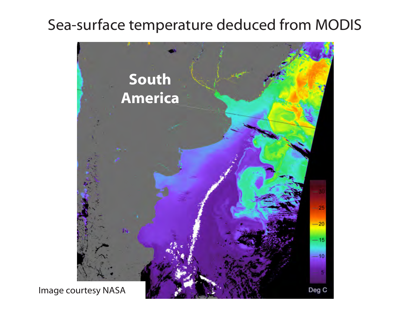# Sea-surface temperature deduced from MODIS



Image courtesy NASA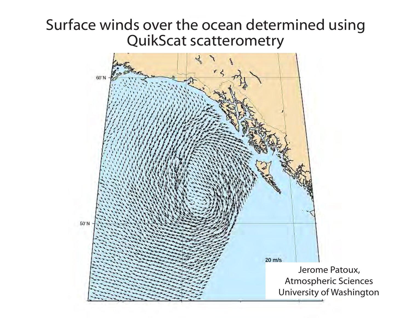## Surface winds over the ocean determined using QuikScat scatterometry

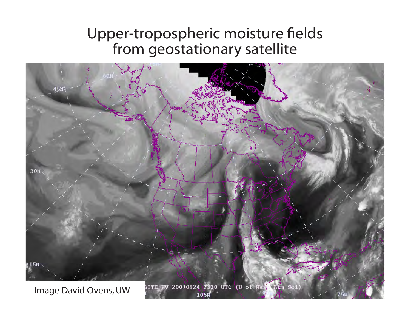## Upper-tropospheric moisture fields from geostationary satellite

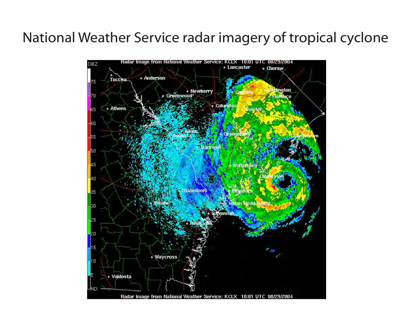#### National Weather Service radar imagery of tropical cyclone

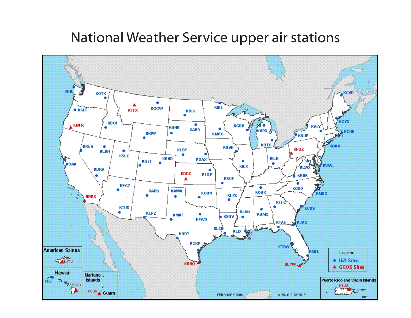#### National Weather Service upper air stations

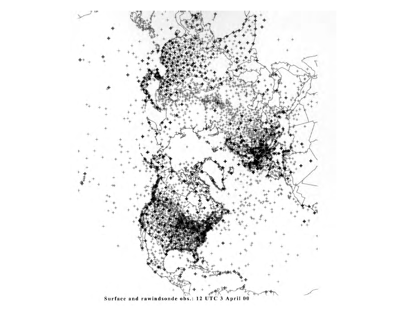